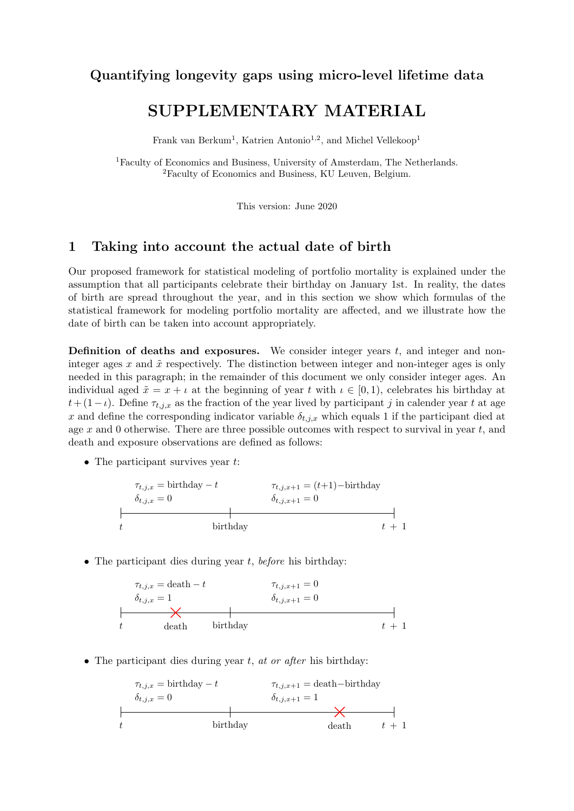## Quantifying longevity gaps using micro-level lifetime data

# SUPPLEMENTARY MATERIAL

Frank van Berkum<sup>1</sup>, Katrien Antonio<sup>1,2</sup>, and Michel Vellekoop<sup>1</sup>

<sup>1</sup>Faculty of Economics and Business, University of Amsterdam, The Netherlands. <sup>2</sup>Faculty of Economics and Business, KU Leuven, Belgium.

This version: June 2020

## 1 Taking into account the actual date of birth

Our proposed framework for statistical modeling of portfolio mortality is explained under the assumption that all participants celebrate their birthday on January 1st. In reality, the dates of birth are spread throughout the year, and in this section we show which formulas of the statistical framework for modeling portfolio mortality are affected, and we illustrate how the date of birth can be taken into account appropriately.

**Definition of deaths and exposures.** We consider integer years  $t$ , and integer and noninteger ages x and  $\tilde{x}$  respectively. The distinction between integer and non-integer ages is only needed in this paragraph; in the remainder of this document we only consider integer ages. An individual aged  $\tilde{x} = x + i$  at the beginning of year t with  $i \in [0, 1)$ , celebrates his birthday at  $t + (1 - \iota)$ . Define  $\tau_{t,j,x}$  as the fraction of the year lived by participant j in calender year t at age x and define the corresponding indicator variable  $\delta_{t,j,x}$  which equals 1 if the participant died at age x and 0 otherwise. There are three possible outcomes with respect to survival in year t, and death and exposure observations are defined as follows:

• The participant survives year  $t$ :

$$
\tau_{t,j,x} = \text{birthday} - t
$$
\n
$$
\sigma_{t,j,x} = 0
$$
\n
$$
\sigma_{t,j,x+1} = (t+1) - \text{birthday}
$$
\n
$$
\sigma_{t,j,x+1} = 0
$$
\nbirthday

\n
$$
t + 1
$$

• The participant dies during year  $t$ , before his birthday:

$$
\tau_{t,j,x} = \text{death} - t \qquad \tau_{t,j,x+1} = 0
$$
\n
$$
\delta_{t,j,x} = 1 \qquad \delta_{t,j,x+1} = 0
$$
\n
$$
t \qquad \text{death} \qquad \text{birthday} \qquad t+1
$$

• The participant dies during year  $t$ , at or after his birthday:

$$
\tau_{t,j,x} = \text{birthday} - t
$$
\n
$$
\tau_{t,j,x+1} = \text{death} - \text{birthday}
$$
\n
$$
\delta_{t,j,x} = 0
$$
\n
$$
\delta_{t,j,x+1} = 1
$$
\n
$$
t
$$
\n
$$
\text{birthday}
$$
\n
$$
\text{death}
$$
\n
$$
t + 1
$$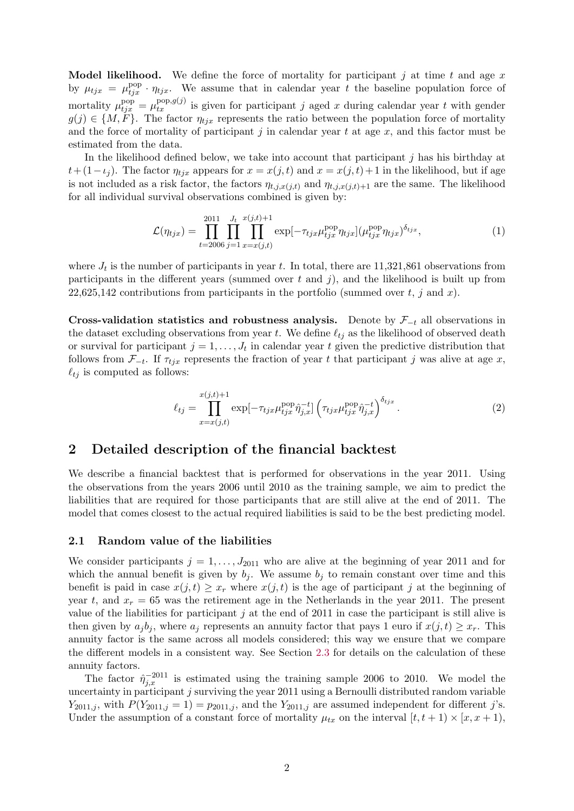**Model likelihood.** We define the force of mortality for participant j at time t and age x by  $\mu_{tjx} = \mu_{tjx}^{\text{pop}} \cdot \eta_{tjx}$ . We assume that in calendar year t the baseline population force of mortality  $\mu_{tjx}^{\text{pop}} = \mu_{tx}^{\text{pop},g(j)}$  is given for participant j aged x during calendar year t with gender  $g(j) \in \{M, F\}$ . The factor  $\eta_{tjx}$  represents the ratio between the population force of mortality and the force of mortality of participant  $j$  in calendar year  $t$  at age  $x$ , and this factor must be estimated from the data.

In the likelihood defined below, we take into account that participant  $j$  has his birthday at  $t+(1-\iota_i)$ . The factor  $\eta_{tj}$  appears for  $x=x(j,t)$  and  $x=x(j,t)+1$  in the likelihood, but if age is not included as a risk factor, the factors  $\eta_{t,j,x(j,t)}$  and  $\eta_{t,j,x(j,t)+1}$  are the same. The likelihood for all individual survival observations combined is given by:

$$
\mathcal{L}(\eta_{tjx}) = \prod_{t=2006}^{2011} \prod_{j=1}^{J_t} \prod_{x=x(j,t)}^{x(j,t)+1} \exp[-\tau_{tjx}\mu_{tjx}^{\text{pop}}\eta_{tjx}] (\mu_{tjx}^{\text{pop}}\eta_{tjx})^{\delta_{tjx}}, \qquad (1)
$$

where  $J_t$  is the number of participants in year t. In total, there are 11,321,861 observations from participants in the different years (summed over  $t$  and  $j$ ), and the likelihood is built up from 22,625,142 contributions from participants in the portfolio (summed over  $t, j$  and  $x$ ).

Cross-validation statistics and robustness analysis. Denote by  $\mathcal{F}_{-t}$  all observations in the dataset excluding observations from year t. We define  $\ell_{ti}$  as the likelihood of observed death or survival for participant  $j = 1, \ldots, J_t$  in calendar year t given the predictive distribution that follows from  $\mathcal{F}_{-t}$ . If  $\tau_{tjx}$  represents the fraction of year t that participant j was alive at age x,  $\ell_{tj}$  is computed as follows:

$$
\ell_{tj} = \prod_{x=x(j,t)}^{x(j,t)+1} \exp[-\tau_{tjx}\mu_{tjx}^{\text{pop}}\hat{\eta}_{j,x}^{-t}] \left(\tau_{tjx}\mu_{tjx}^{\text{pop}}\hat{\eta}_{j,x}^{-t}\right)^{\delta_{tjx}}.
$$
\n(2)

### 2 Detailed description of the financial backtest

We describe a financial backtest that is performed for observations in the year 2011. Using the observations from the years 2006 until 2010 as the training sample, we aim to predict the liabilities that are required for those participants that are still alive at the end of 2011. The model that comes closest to the actual required liabilities is said to be the best predicting model.

#### 2.1 Random value of the liabilities

We consider participants  $j = 1, \ldots, J_{2011}$  who are alive at the beginning of year 2011 and for which the annual benefit is given by  $b_i$ . We assume  $b_i$  to remain constant over time and this benefit is paid in case  $x(j, t) \geq x_r$  where  $x(j, t)$  is the age of participant j at the beginning of year t, and  $x_r = 65$  was the retirement age in the Netherlands in the year 2011. The present value of the liabilities for participant  $j$  at the end of 2011 in case the participant is still alive is then given by  $a_j b_j$ , where  $a_j$  represents an annuity factor that pays 1 euro if  $x(j, t) \geq x_r$ . This annuity factor is the same across all models considered; this way we ensure that we compare the different models in a consistent way. See Section [2.3](#page-3-0) for details on the calculation of these annuity factors.

The factor  $\hat{\eta}_{j,x}^{-2011}$  is estimated using the training sample 2006 to 2010. We model the uncertainty in participant j surviving the year 2011 using a Bernoulli distributed random variable  $Y_{2011,j}$ , with  $P(Y_{2011,j} = 1) = p_{2011,j}$ , and the  $Y_{2011,j}$  are assumed independent for different j's. Under the assumption of a constant force of mortality  $\mu_{tx}$  on the interval  $[t, t + 1) \times [x, x + 1)$ ,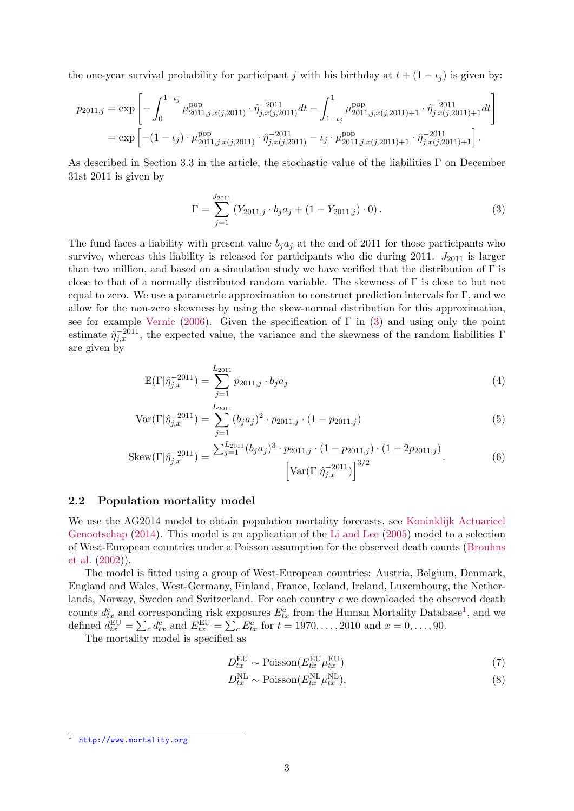the one-year survival probability for participant j with his birthday at  $t + (1 - \iota_i)$  is given by:

$$
p_{2011,j} = \exp\left[-\int_0^{1-t_j} \mu_{2011,j,x(j,2011)}^{\text{pop}} \cdot \hat{\eta}_{j,x(j,2011)}^{-2011} dt - \int_{1-t_j}^1 \mu_{2011,j,x(j,2011)+1}^{\text{pop}} \cdot \hat{\eta}_{j,x(j,2011)+1}^{-2011} dt\right]
$$
  
=  $\exp\left[-(1-t_j) \cdot \mu_{2011,j,x(j,2011)}^{\text{pop}} \cdot \hat{\eta}_{j,x(j,2011)}^{-2011} - t_j \cdot \mu_{2011,j,x(j,2011)+1}^{\text{pop}} \cdot \hat{\eta}_{j,x(j,2011)+1}^{-2011}\right].$ 

As described in Section 3.3 in the article, the stochastic value of the liabilities  $\Gamma$  on December 31st 2011 is given by

<span id="page-2-2"></span><span id="page-2-0"></span>
$$
\Gamma = \sum_{j=1}^{J_{2011}} (Y_{2011,j} \cdot b_j a_j + (1 - Y_{2011,j}) \cdot 0).
$$
 (3)

The fund faces a liability with present value  $b_j a_j$  at the end of 2011 for those participants who survive, whereas this liability is released for participants who die during 2011.  $J_{2011}$  is larger than two million, and based on a simulation study we have verified that the distribution of  $\Gamma$  is close to that of a normally distributed random variable. The skewness of Γ is close to but not equal to zero. We use a parametric approximation to construct prediction intervals for Γ, and we allow for the non-zero skewness by using the skew-normal distribution for this approximation, see for example [Vernic](#page-5-0) [\(2006\)](#page-5-0). Given the specification of  $\Gamma$  in [\(3\)](#page-2-0) and using only the point estimate  $\hat{\eta}_{j,x}^{-2011}$ , the expected value, the variance and the skewness of the random liabilities  $\Gamma$ are given by

$$
\mathbb{E}(\Gamma|\hat{\eta}_{j,x}^{-2011}) = \sum_{j=1}^{L_{2011}} p_{2011,j} \cdot b_j a_j \tag{4}
$$

$$
\text{Var}(\Gamma|\hat{\eta}_{j,x}^{-2011}) = \sum_{j=1}^{L_{2011}} (b_j a_j)^2 \cdot p_{2011,j} \cdot (1 - p_{2011,j}) \tag{5}
$$

$$
Skew(\Gamma|\hat{\eta}_{j,x}^{-2011}) = \frac{\sum_{j=1}^{L_{2011}} (b_j a_j)^3 \cdot p_{2011,j} \cdot (1 - p_{2011,j}) \cdot (1 - 2p_{2011,j})}{\left[\text{Var}(\Gamma|\hat{\eta}_{j,x}^{-2011})\right]^{3/2}}.
$$
 (6)

### 2.2 Population mortality model

We use the AG2014 model to obtain population mortality forecasts, see [Koninklijk Actuarieel](#page-5-1) [Genootschap](#page-5-1) [\(2014\)](#page-5-1). This model is an application of the [Li and Lee](#page-5-2) [\(2005\)](#page-5-2) model to a selection of West-European countries under a Poisson assumption for the observed death counts [\(Brouhns](#page-5-3) [et al.](#page-5-3) [\(2002\)](#page-5-3)).

The model is fitted using a group of West-European countries: Austria, Belgium, Denmark, England and Wales, West-Germany, Finland, France, Iceland, Ireland, Luxembourg, the Netherlands, Norway, Sweden and Switzerland. For each country c we downloaded the observed death counts  $d_{tx}^c$  and corresponding risk exposures  $E_{tx}^c$  from the Human Mortality Database<sup>[1](#page-2-1)</sup>, and we defined  $d_{tx}^{\text{EU}} = \sum_{c} d_{tx}^{c}$  and  $E_{tx}^{\text{EU}} = \sum_{c} E_{tx}^{c}$  for  $t = 1970, ..., 2010$  and  $x = 0, ..., 90$ .

The mortality model is specified as

<span id="page-2-3"></span>
$$
D_{tx}^{\text{EU}} \sim \text{Poisson}(E_{tx}^{\text{EU}} \mu_{tx}^{\text{EU}})
$$
\n<sup>(7)</sup>

$$
D_{tx}^{\text{NL}} \sim \text{Poisson}(E_{tx}^{\text{NL}} \mu_{tx}^{\text{NL}}),\tag{8}
$$

<span id="page-2-1"></span><sup>1</sup> <http://www.mortality.org>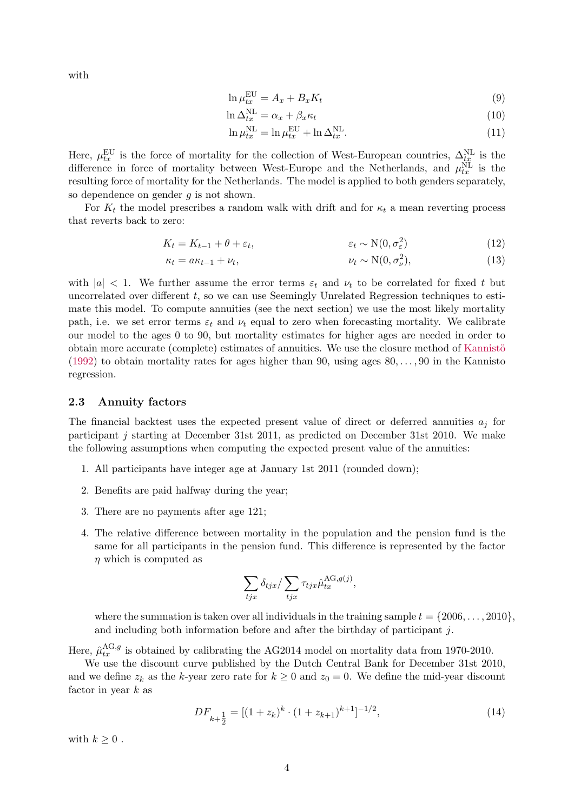with

$$
\ln \mu_{tx}^{\text{EU}} = A_x + B_x K_t \tag{9}
$$

$$
\ln \Delta_{tx}^{\text{NL}} = \alpha_x + \beta_x \kappa_t \tag{10}
$$

$$
\ln \mu_{tx}^{\text{NL}} = \ln \mu_{tx}^{\text{EU}} + \ln \Delta_{tx}^{\text{NL}}.
$$
\n(11)

Here,  $\mu_{tx}^{\text{EU}}$  is the force of mortality for the collection of West-European countries,  $\Delta_{tx}^{\text{NL}}$  is the difference in force of mortality between West-Europe and the Netherlands, and  $\mu_{tx}^{\text{NL}}$  is the resulting force of mortality for the Netherlands. The model is applied to both genders separately, so dependence on gender  $g$  is not shown.

For  $K_t$  the model prescribes a random walk with drift and for  $\kappa_t$  a mean reverting process that reverts back to zero:

$$
K_t = K_{t-1} + \theta + \varepsilon_t, \qquad \qquad \varepsilon_t \sim \mathcal{N}(0, \sigma_{\varepsilon}^2) \tag{12}
$$

$$
a\kappa_{t-1} + \nu_t, \qquad \nu_t \sim \mathcal{N}(0, \sigma_\nu^2), \tag{13}
$$

with  $|a| < 1$ . We further assume the error terms  $\varepsilon_t$  and  $\nu_t$  to be correlated for fixed t but uncorrelated over different  $t$ , so we can use Seemingly Unrelated Regression techniques to estimate this model. To compute annuities (see the next section) we use the most likely mortality path, i.e. we set error terms  $\varepsilon_t$  and  $\nu_t$  equal to zero when forecasting mortality. We calibrate our model to the ages 0 to 90, but mortality estimates for higher ages are needed in order to obtain more accurate (complete) estimates of annuities. We use the closure method of Kannistö  $(1992)$  to obtain mortality rates for ages higher than 90, using ages  $80, \ldots, 90$  in the Kannisto regression.

#### <span id="page-3-0"></span>2.3 Annuity factors

The financial backtest uses the expected present value of direct or deferred annuities  $a_i$  for participant j starting at December 31st 2011, as predicted on December 31st 2010. We make the following assumptions when computing the expected present value of the annuities:

- 1. All participants have integer age at January 1st 2011 (rounded down);
- 2. Benefits are paid halfway during the year;
- 3. There are no payments after age 121;

 $\kappa_t =$ 

4. The relative difference between mortality in the population and the pension fund is the same for all participants in the pension fund. This difference is represented by the factor  $\eta$  which is computed as

$$
\sum_{tjx} \delta_{tjx} / \sum_{tjx} \tau_{tjx} \hat{\mu}_{tx}^{\text{AG},g(j)},
$$

where the summation is taken over all individuals in the training sample  $t = \{2006, \ldots, 2010\}$ , and including both information before and after the birthday of participant j.

Here,  $\hat{\mu}_{tx}^{\text{AG},g}$  is obtained by calibrating the AG2014 model on mortality data from 1970-2010.

We use the discount curve published by the Dutch Central Bank for December 31st 2010, and we define  $z_k$  as the k-year zero rate for  $k \geq 0$  and  $z_0 = 0$ . We define the mid-year discount factor in year  $k$  as

$$
DF_{k+\frac{1}{2}} = [(1+z_k)^k \cdot (1+z_{k+1})^{k+1}]^{-1/2},\tag{14}
$$

with  $k > 0$ .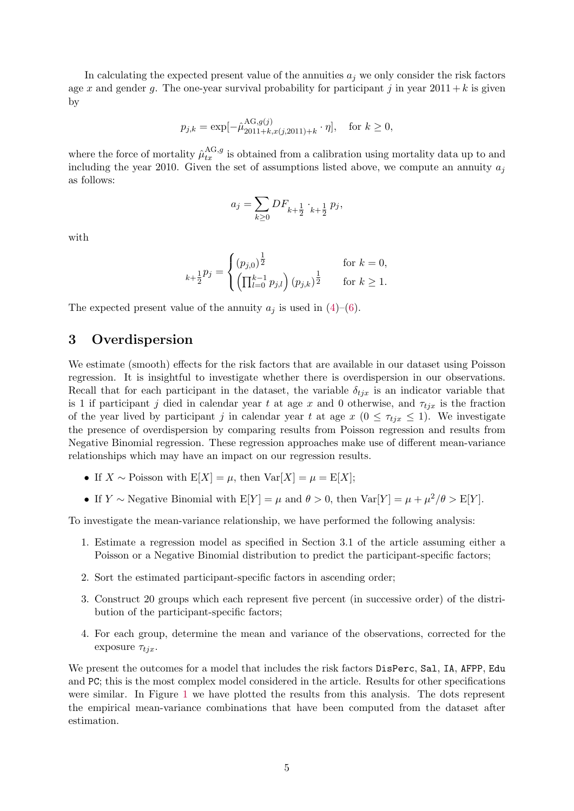In calculating the expected present value of the annuities  $a_i$  we only consider the risk factors age x and gender q. The one-year survival probability for participant j in year  $2011 + k$  is given by

$$
p_{j,k} = \exp[-\hat{\mu}_{2011+k,x(j,2011)+k}^{\text{AG},g(j)} \cdot \eta], \text{ for } k \ge 0,
$$

where the force of mortality  $\hat{\mu}_{tx}^{\text{AG},g}$  is obtained from a calibration using mortality data up to and including the year 2010. Given the set of assumptions listed above, we compute an annuity  $a_j$ as follows:

$$
a_j = \sum_{k \ge 0} DF_{k + \frac{1}{2}} \cdot_{k + \frac{1}{2}} p_j,
$$

with

$$
k + \frac{1}{2}p_j = \begin{cases} (p_{j,0})^{\frac{1}{2}} & \text{for } k = 0, \\ \left(\prod_{l=0}^{k-1} p_{j,l}\right) (p_{j,k})^{\frac{1}{2}} & \text{for } k \ge 1. \end{cases}
$$

The expected present value of the annuity  $a_j$  is used in [\(4\)](#page-2-2)–[\(6\)](#page-2-3).

### 3 Overdispersion

We estimate (smooth) effects for the risk factors that are available in our dataset using Poisson regression. It is insightful to investigate whether there is overdispersion in our observations. Recall that for each participant in the dataset, the variable  $\delta_{tjx}$  is an indicator variable that is 1 if participant j died in calendar year t at age x and 0 otherwise, and  $\tau_{tjx}$  is the fraction of the year lived by participant j in calendar year t at age  $x$  ( $0 \leq \tau_{tix} \leq 1$ ). We investigate the presence of overdispersion by comparing results from Poisson regression and results from Negative Binomial regression. These regression approaches make use of different mean-variance relationships which may have an impact on our regression results.

- If  $X \sim$  Poisson with  $E[X] = \mu$ , then  $Var[X] = \mu = E[X]$ ;
- If  $Y \sim$  Negative Binomial with  $E[Y] = \mu$  and  $\theta > 0$ , then  $Var[Y] = \mu + \mu^2/\theta > E[Y]$ .

To investigate the mean-variance relationship, we have performed the following analysis:

- 1. Estimate a regression model as specified in Section 3.1 of the article assuming either a Poisson or a Negative Binomial distribution to predict the participant-specific factors;
- 2. Sort the estimated participant-specific factors in ascending order;
- 3. Construct 20 groups which each represent five percent (in successive order) of the distribution of the participant-specific factors;
- 4. For each group, determine the mean and variance of the observations, corrected for the exposure  $\tau_{tix}$ .

We present the outcomes for a model that includes the risk factors DisPerc, Sal, IA, AFPP, Edu and PC; this is the most complex model considered in the article. Results for other specifications were similar. In Figure [1](#page-5-5) we have plotted the results from this analysis. The dots represent the empirical mean-variance combinations that have been computed from the dataset after estimation.